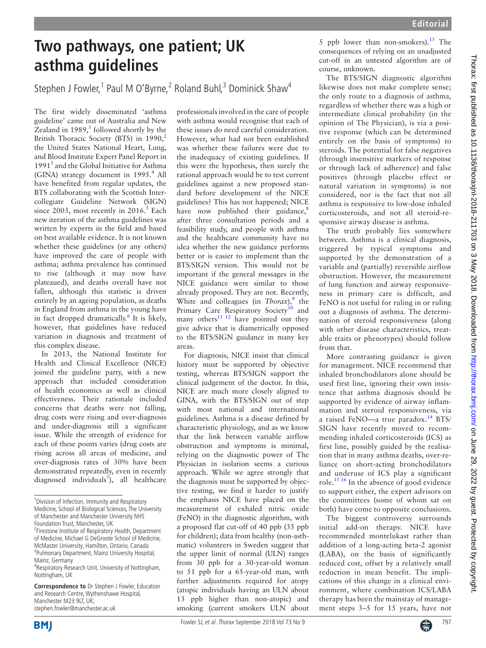## **Two pathways, one patient; UK asthma guidelines**

Stephen J Fowler,<sup>1</sup> Paul M O'Byrne,<sup>2</sup> Roland Buhl,<sup>3</sup> Dominick Shaw<sup>4</sup>

The first widely disseminated 'asthma guideline' came out of Australia and New Zealand in  $1989<sup>1</sup>$  $1989<sup>1</sup>$ , followed shortly by the British Thoracic Society (BTS) in 1990,<sup>[2](#page-1-1)</sup> the United States National Heart, Lung, and Blood Institute Expert Panel Report in 1991<sup>[3](#page-1-2)</sup> and the Global Initiative for Asthma (GINA) strategy document in 1995.<sup>[4](#page-1-3)</sup> All have benefited from regular updates, the BTS collaborating with the Scottish Intercollegiate Guideline Network (SIGN) since 2003, most recently in 2016.<sup>[5](#page-1-4)</sup> Each new iteration of the asthma guidelines was written by experts in the field and based on best available evidence. It is not known whether these guidelines (or any others) have improved the care of people with asthma; asthma prevalence has continued to rise (although it may now have plateaued), and deaths overall have not fallen, although this statistic is driven entirely by an ageing population, as deaths in England from asthma in the young have in fact dropped dramatically.<sup>[6](#page-1-5)</sup> It is likely, however, that guidelines have reduced variation in diagnosis and treatment of this complex disease.

In 2013, the National Institute for Health and Clinical Excellence (NICE) joined the guideline party, with a new approach that included consideration of health economics as well as clinical effectiveness. Their rationale included concerns that deaths were not falling, drug costs were rising and over-diagnosis and under-diagnosis still a significant issue. While the strength of evidence for each of these points varies (drug costs are rising across all areas of medicine, and over-diagnosis rates of 30% have been demonstrated repeatedly, even in recently diagnosed individuals<sup>7</sup>), all healthcare

**Correspondence to** Dr Stephen J Fowler, Education and Research Centre, Wythenshawe Hospital, Manchester M23 9LT, UK; stephen.fowler@manchester.ac.uk



professionals involved in the care of people with asthma would recognise that each of these issues do need careful consideration. However, what had not been established was whether these failures were due to the inadequacy of existing guidelines. If this were the hypothesis, then surely the rational approach would be to test current guidelines against a new proposed standard before development of the NICE guidelines? This has not happened; NICE have now published their guidance, $8$ after three consultation periods and a feasibility study, and people with asthma and the healthcare community have no idea whether the new guidance performs better or is easier to implement than the BTS/SIGN version. This would not be important if the general messages in the NICE guidance were similar to those already proposed. They are not. Recently, White and colleagues (in *Thorax*),<sup>9</sup> the Primary Care Respiratory Society<sup>[10](#page-1-9)</sup> and many others<sup>11 12</sup> have pointed out they give advice that is diametrically opposed to the BTS/SIGN guidance in many key areas.

For diagnosis, NICE insist that clinical history must be supported by objective testing, whereas BTS/SIGN support the clinical judgement of the doctor. In this, NICE are much more closely aligned to GINA, with the BTS/SIGN out of step with most national and international guidelines. Asthma is a disease defined by characteristic physiology, and as we know that the link between variable airflow obstruction and symptoms is minimal, relying on the diagnostic power of The Physician in isolation seems a curious approach. While we agree strongly that the diagnosis must be supported by objective testing, we find it harder to justify the emphasis NICE have placed on the measurement of exhaled nitric oxide (FeNO) in the diagnostic algorithm, with a proposed flat cut-off of 40 ppb (35 ppb for children); data from healthy (non-asthmatic) volunteers in Sweden suggest that the upper limit of normal (ULN) ranges from 30 ppb for a 30-year-old woman to 51 ppb for a 65-year-old man, with further adjustments required for atopy (atopic individuals having an ULN about 13 ppb higher than non-atopic) and smoking (current smokers ULN about

5 ppb lower than non-smokers). $^{13}$  The consequences of relying on an unadjusted cut-off in an untested algorithm are of course, unknown.

The BTS/SIGN diagnostic algorithm likewise does not make complete sense; the only route to a diagnosis of asthma, regardless of whether there was a high or intermediate clinical probability (in the opinion of The Physician), is via a positive response (which can be determined entirely on the basis of symptoms) to steroids. The potential for false negatives (through insensitive markers of response or through lack of adherence) and false positives (through placebo effect or natural variation in symptoms) is not considered, nor is the fact that not all asthma is responsive to low-dose inhaled corticosteroids, and not all steroid-responsive airway disease is asthma.

The truth probably lies somewhere between. Asthma is a clinical diagnosis, triggered by typical symptoms and supported by the demonstration of a variable and (partially) reversible airflow obstruction. However, the measurement of lung function and airway responsiveness in primary care is difficult, and FeNO is not useful for ruling in or ruling out a diagnosis of asthma. The determination of steroid responsiveness (along with other disease characteristics, treatable traits or phenotypes) should follow from that.

More contrasting guidance is given for management. NICE recommend that inhaled bronchodilators alone should be used first line, ignoring their own insistence that asthma diagnosis should be supported by evidence of airway inflammation and steroid responsiveness, via a raised FeNO—a true paradox. $14$  BTS/ SIGN have recently moved to recommending inhaled corticosteroids (ICS) as first line, possibly guided by the realisation that in many asthma deaths, over-reliance on short-acting bronchodilators and underuse of ICS play a significant role.<sup>15 16</sup> In the absence of good evidence to support either, the expert advisors on the committees (some of whom sat on both) have come to opposite conclusions.

The biggest controversy surrounds initial add-on therapy. NICE have recommended montelukast rather than addition of a long-acting beta-2 agonist (LABA), on the basis of significantly reduced cost, offset by a relatively small reduction in mean benefit. The implications of this change in a clinical environment, where combination ICS/LABA therapy has been the mainstay of management steps 3–5 for 15 years, have not



<sup>&</sup>lt;sup>1</sup> Division of Infection, Immunity and Respiratory Medicine, School of Biological Sciences, The University of Manchester and Manchester University NHS Foundation Trust, Manchester, UK

<sup>&</sup>lt;sup>2</sup> Firestone Institute of Respiratory Health, Department of Medicine, Michael G DeGroote School of Medicine, McMaster University, Hamilton, Ontario, Canada 3 Pulmonary Department, Mainz University Hospital, Mainz, Germany

<sup>4</sup> Respiratory Research Unit, University of Nottingham, Nottingham, UK